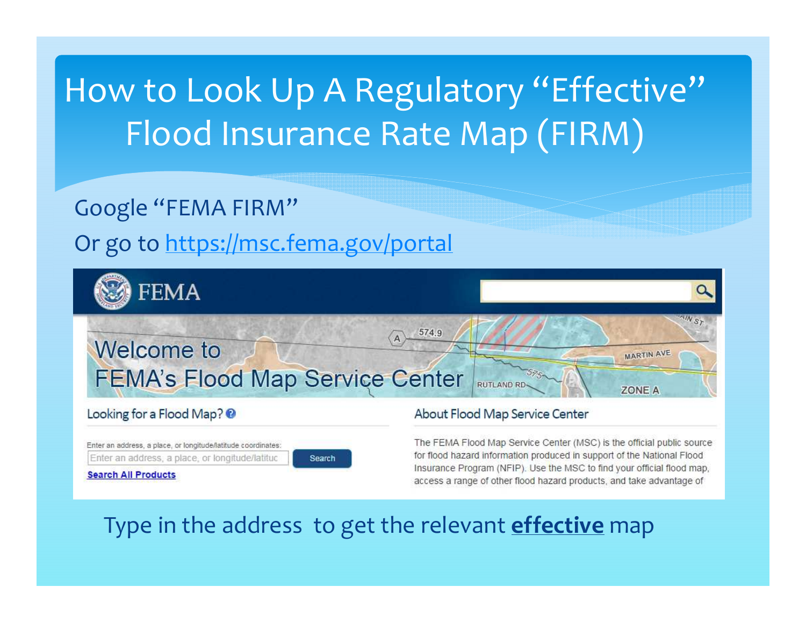# How to Look Up A Regulatory "Effective" Flood Insurance Rate Map (FIRM)

#### Google "FEMA FIRM"

#### Or go to https://msc.fema.gov/portal



#### Looking for a Flood Map? @

Enter an address, a place, or longitude/latitude coordinates: Enter an address, a place, or longitude/latitud

Search

**Search All Products** 

#### About Flood Map Service Center

The FEMA Flood Map Service Center (MSC) is the official public source for flood hazard information produced in support of the National Flood Insurance Program (NFIP). Use the MSC to find your official flood map, access a range of other flood hazard products, and take advantage of

### Type in the address to get the relevant **effective** map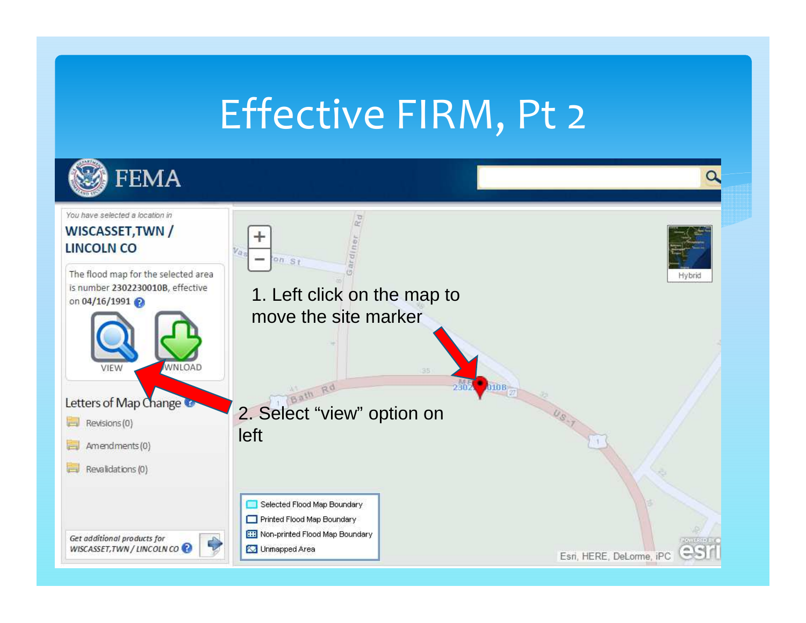# Effective FIRM, Pt 2

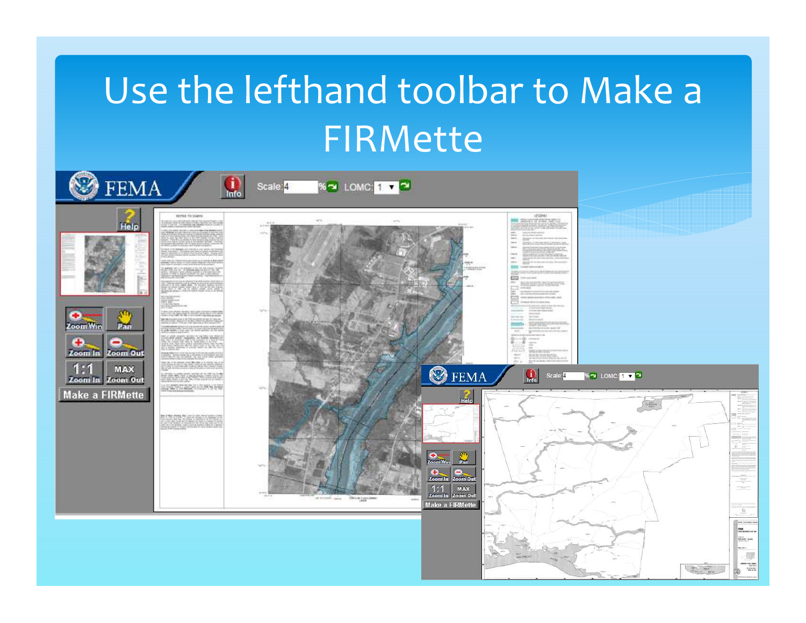# Use the lefthand toolbar to Make a FIRMette

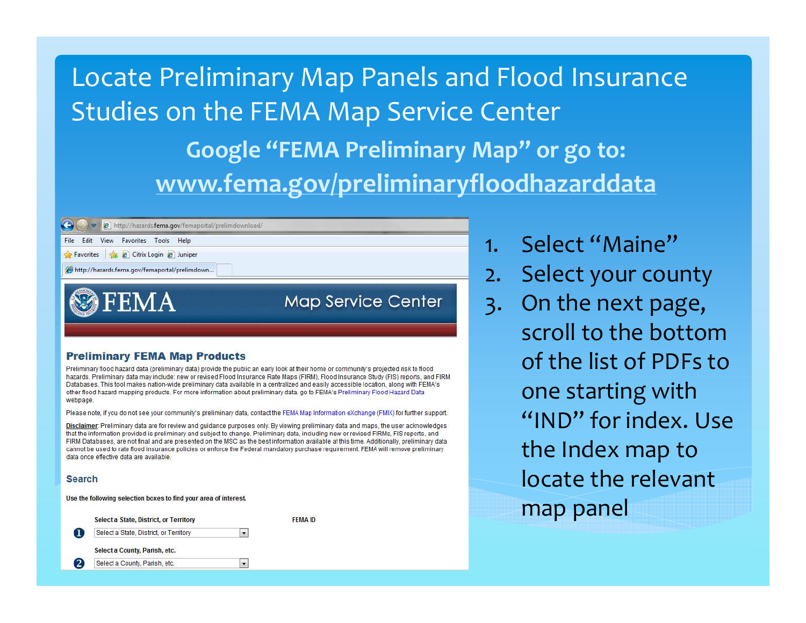Locate Preliminary Map Panels and Flood Insurance Studies on the FEMA Map Service Center

> **Google "FEMA Preliminary Map" or go to:www.fema.gov/preliminaryfloodhazarddata**

e http://hazards.fema.gov/femaportal/prelimdownload/

Fdit View Favorites Tools Help

Favorites **B** Citrix Login **P** Juniper

http://hazards.fema.gov/femaportal/prelimdown..

**FEMA** 

**Map Service Center** 

#### **Preliminary FEMA Map Products**

Preliminary flood hazard data (preliminary data) provide the public an early look at their home or community's projected risk to flood hazards. Preliminary data may include: new or revised Flood Insurance Rate Maps (FIRM), Flood Insurance Study (FIS) reports, and FIRM Databases. This tool makes nation-wide preliminary data available in a centralized and easily accessible location, along with FEMA's other flood hazard mapping products. For more information about preliminary data, go to FEMA's Preliminary Flood Hazard Data webpage.

Please note, if you do not see your community's preliminary data, contact the FEMA Map Information eXchange (FMIX) for further support.

Disclaimer: Preliminary data are for review and quidance purposes only. By viewing preliminary data and maps, the user acknowledges that the information provided is preliminary and subject to change. Preliminary data, including new or revised FIRMs, FIS reports, and FIRM Databases, are not final and are presented on the MSC as the best information available at this time. Additionally, preliminary data cannot be used to rate flood insurance policies or enforce the Federal mandatory purchase requirement. FEMA will remove preliminary data once effective data are available.

**FEMA ID** 

#### **Search**

|  | Use the following selection boxes to find your area of interest |  |  |  |
|--|-----------------------------------------------------------------|--|--|--|
|  |                                                                 |  |  |  |

|   | Select a State, District, or Territory |  |
|---|----------------------------------------|--|
|   | Select a State, District, or Territory |  |
|   | Select a County, Parish, etc.          |  |
| 2 | Select a County, Parish, etc.          |  |

- 1. Select "Maine"
- 2. Select your county
- 3. On the next page, scroll to the bottom of the list of PDFs to one starting with "IND" for index. Use the Index map to locate the relevant map panel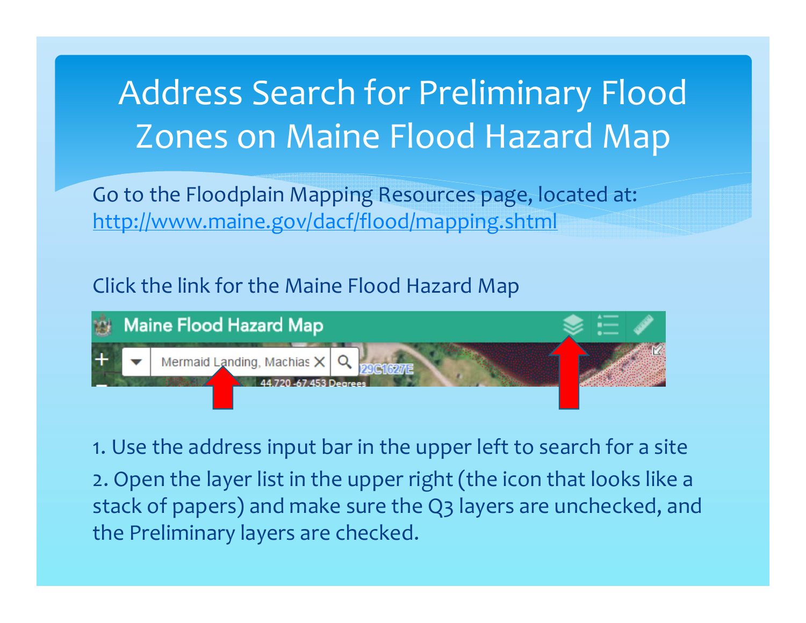## Address Search for Preliminary Flood Zones on Maine Flood Hazard Map

Go to the Floodplain Mapping Resources page, located at: http://www.maine.gov/dacf/flood/mapping.shtml

#### Click the link for the Maine Flood Hazard Map



1. Use the address input bar in the upper left to search for a site2. Open the layer list in the upper right (the icon that looks like a stack of papers) and make sure the Q3 layers are unchecked, and the Preliminary layers are checked.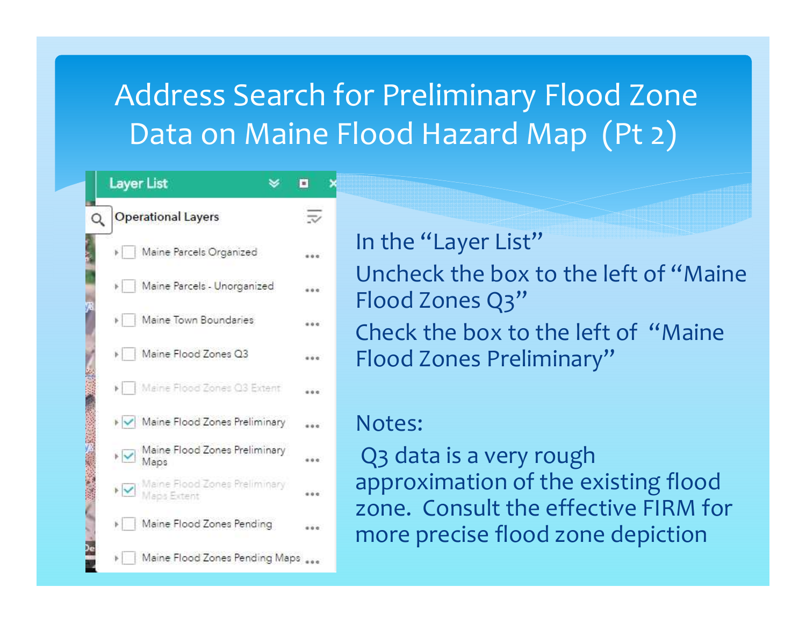### Address Search for Preliminary Flood Zone Data on Maine Flood Hazard Map (Pt 2)

|         | <b>Layer List</b>                     | ú.       |
|---------|---------------------------------------|----------|
| $\circ$ | <b>Operational Layers</b>             | $\equiv$ |
|         | Maine Parcels Organized               |          |
|         | Maine Parcels - Unorganized           |          |
|         | Maine Town Boundaries                 |          |
|         | Maine Flood Zones Q3                  |          |
|         | Maine Flood Zones Q3 Extent           |          |
|         | Maine Flood Zones Preliminary         |          |
|         | Maine Flood Zones Preliminary<br>Maps |          |
|         | Maine Flood Zones Preliminary         |          |
|         | Maine Flood Zones Pending             |          |
|         | Maine Flood Zones Pending Maps        |          |

In the "Layer List" Uncheck the box to the left of "Maine Flood Zones Q3" Check the box to the left of "Maine Flood Zones Preliminary"

#### Notes:

Q3 data is a very rough approximation of the existing flood zone. Consult the effective FIRM for more precise flood zone depiction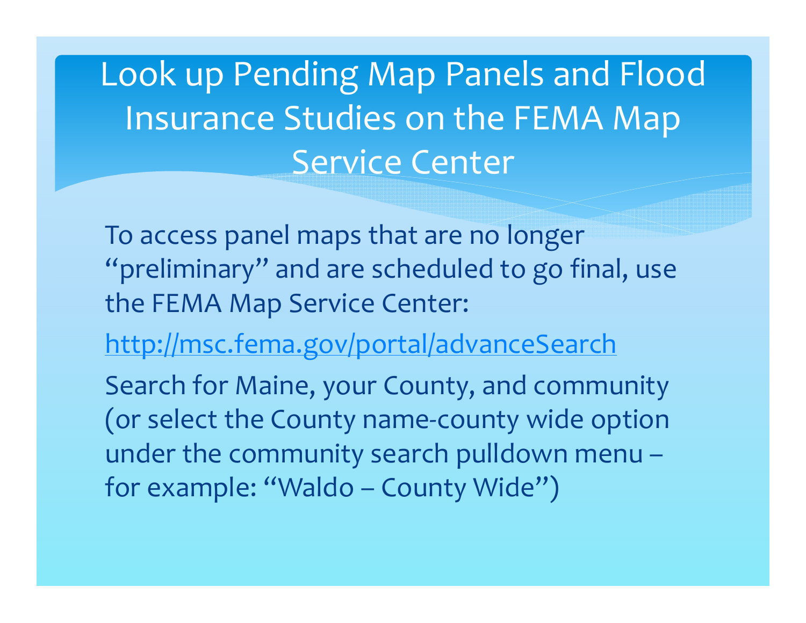Look up Pending Map Panels and Flood Insurance Studies on the FEMA Map Service Center

To access panel maps that are no longer "preliminary" and are scheduled to go final, use the FEMA Map Service Center:

http://msc.fema.gov/portal/advanceSearch

Search for Maine, your County, and community (or select the County name-county wide option under the community search pulldown menu –for example: "Waldo – County Wide")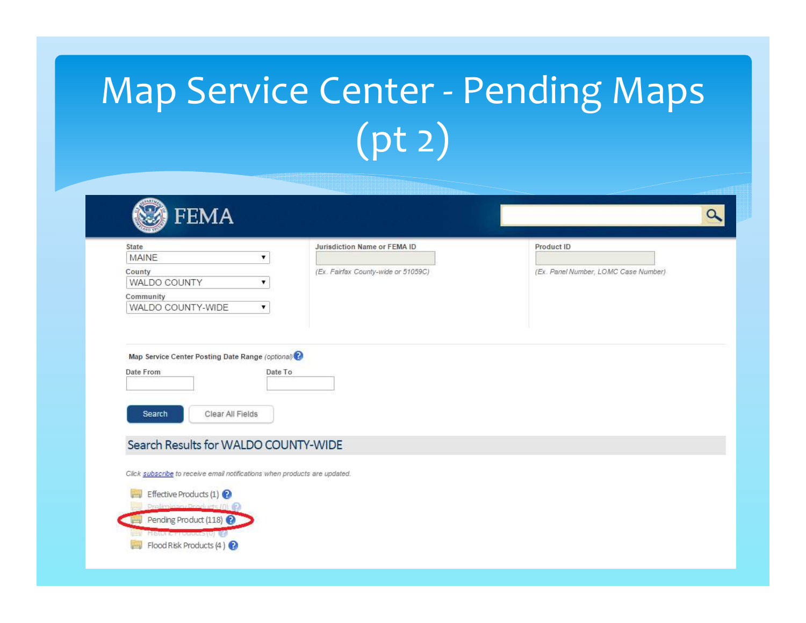# Map Service Center - Pending Maps (pt 2)

| State<br><b>MAINE</b>                                                                                                          | Jurisdiction Name or FEMA ID                     | Product ID                           |
|--------------------------------------------------------------------------------------------------------------------------------|--------------------------------------------------|--------------------------------------|
| ۷<br>County<br>WALDO COUNTY<br>۷                                                                                               | (Ex. Fairfax County-wide or 51059C)              | (Ex. Panel Number, LOMC Case Number) |
| Community<br>WALDO COUNTY-WIDE                                                                                                 |                                                  |                                      |
|                                                                                                                                | Map Service Center Posting Date Range (optional) |                                      |
| Date To<br>Clear All Fields<br>Search                                                                                          |                                                  |                                      |
|                                                                                                                                |                                                  |                                      |
| Date From<br>Search Results for WALDO COUNTY-WIDE<br>Click subscribe to receive email notifications when products are updated. |                                                  |                                      |
| Effective Products (1)<br>Proliningon Products (0)                                                                             |                                                  |                                      |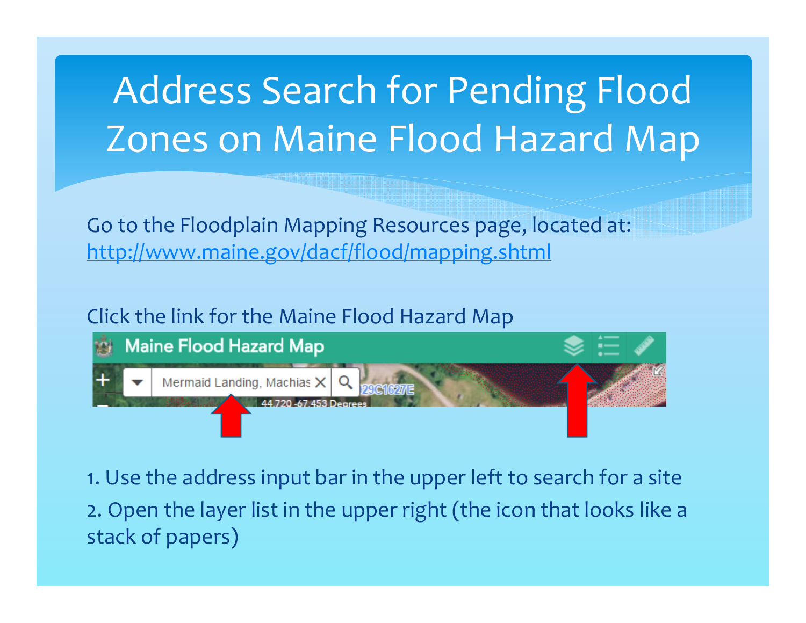# Address Search for Pending Flood Zones on Maine Flood Hazard Map

Go to the Floodplain Mapping Resources page, located at: http://www.maine.gov/dacf/flood/mapping.shtml

Click the link for the Maine Flood Hazard Map



1. Use the address input bar in the upper left to search for a site2. Open the layer list in the upper right (the icon that looks like a stack of papers)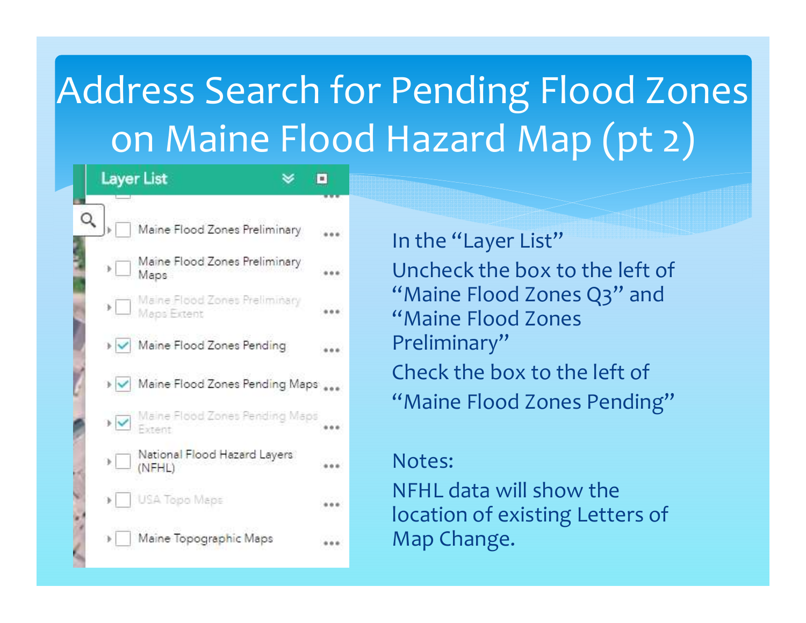# Address Search for Pending Flood Zones on Maine Flood Hazard Map (pt 2)

|   | <b>Layer List</b> |                                                           | ۰ |
|---|-------------------|-----------------------------------------------------------|---|
|   |                   |                                                           |   |
| Q |                   | Maine Flood Zones Preliminary                             |   |
|   |                   | $\mathcal{P} \Box$ Maine Flood Zones Preliminary          |   |
|   |                   | ▶ Maine Flood Zones Preliminary<br>Maps Extent            |   |
|   |                   | > V Maine Flood Zones Pending                             |   |
|   |                   | > V Maine Flood Zones Pending Maps                        |   |
|   |                   | ▶ Ø Maine Flood Zones Pending Maps                        |   |
|   |                   | $\mathcal{P} \Box$ National Flood Hazard Layers<br>(NFHL) |   |
|   |                   | > USA Topo Maps                                           |   |
|   |                   | Maine Topographic Maps                                    |   |

In the "Layer List" Uncheck the box to the left of "Maine Flood Zones Q3" and"Maine Flood Zones Preliminary"Check the box to the left of"Maine Flood Zones Pending"

#### Notes:

NFHL data will show the location of existing Letters of Map Change.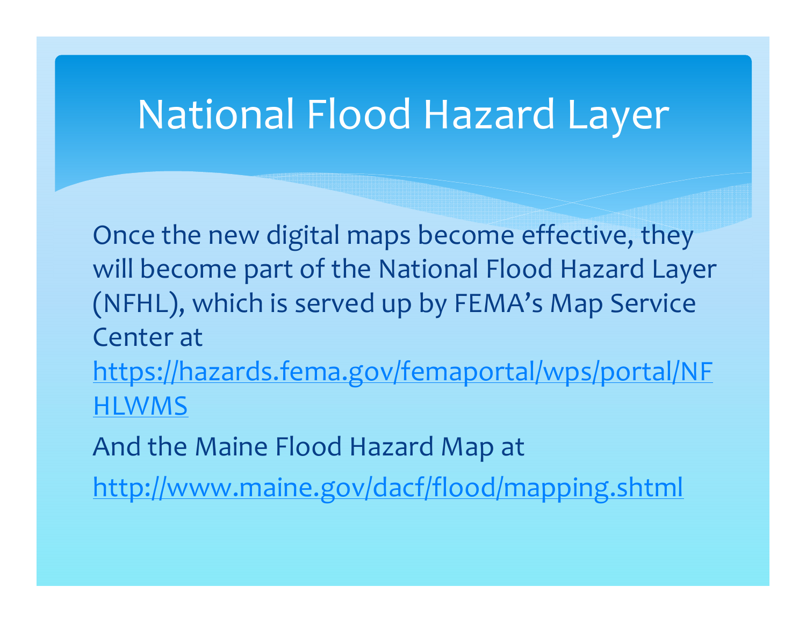### National Flood Hazard Layer

Once the new digital maps become effective, they will become part of the National Flood Hazard Layer (NFHL), which is served up by FEMA's Map Service Center at https://hazards.fema.gov/femaportal/wps/portal/NFHLWMS

And the Maine Flood Hazard Map at

http://www.maine.gov/dacf/flood/mapping.shtml